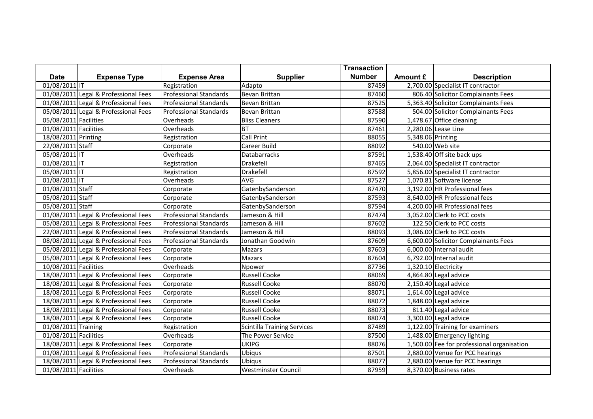|                       |                                      |                               |                                    | <b>Transaction</b> |                   |                                            |
|-----------------------|--------------------------------------|-------------------------------|------------------------------------|--------------------|-------------------|--------------------------------------------|
| <b>Date</b>           | <b>Expense Type</b>                  | <b>Expense Area</b>           | <b>Supplier</b>                    | <b>Number</b>      | Amount £          | <b>Description</b>                         |
| 01/08/2011 IT         |                                      | Registration                  | Adapto                             | 87459              |                   | 2,700.00 Specialist IT contractor          |
|                       | 01/08/2011 Legal & Professional Fees | <b>Professional Standards</b> | Bevan Brittan                      | 87460              |                   | 806.40 Solicitor Complainants Fees         |
|                       | 01/08/2011 Legal & Professional Fees | <b>Professional Standards</b> | Bevan Brittan                      | 87525              |                   | 5,363.40 Solicitor Complainants Fees       |
|                       | 05/08/2011 Legal & Professional Fees | <b>Professional Standards</b> | <b>Bevan Brittan</b>               | 87588              |                   | 504.00 Solicitor Complainants Fees         |
| 05/08/2011 Facilities |                                      | Overheads                     | <b>Bliss Cleaners</b>              | 87590              |                   | 1,478.67 Office cleaning                   |
| 01/08/2011 Facilities |                                      | Overheads                     | <b>BT</b>                          | 87461              |                   | 2,280.06 Lease Line                        |
| 18/08/2011 Printing   |                                      | Registration                  | <b>Call Print</b>                  | 88055              | 5,348.06 Printing |                                            |
| 22/08/2011 Staff      |                                      | Corporate                     | Career Build                       | 88092              |                   | 540.00 Web site                            |
| 05/08/2011 IT         |                                      | Overheads                     | <b>Databarracks</b>                | 87591              |                   | 1,538.40 Off site back ups                 |
| 01/08/2011 IT         |                                      | Registration                  | Drakefell                          | 87465              |                   | 2,064.00 Specialist IT contractor          |
| 05/08/2011 IT         |                                      | Registration                  | Drakefell                          | 87592              |                   | 5,856.00 Specialist IT contractor          |
| $01/08/2011$ IT       |                                      | Overheads                     | AVG                                | 87527              |                   | 1,070.81 Software license                  |
| 01/08/2011 Staff      |                                      | Corporate                     | GatenbySanderson                   | 87470              |                   | 3,192.00 HR Professional fees              |
| 05/08/2011 Staff      |                                      | Corporate                     | GatenbySanderson                   | 87593              |                   | 8,640.00 HR Professional fees              |
| 05/08/2011 Staff      |                                      | Corporate                     | GatenbySanderson                   | 87594              |                   | 4,200.00 HR Professional fees              |
|                       | 01/08/2011 Legal & Professional Fees | <b>Professional Standards</b> | Jameson & Hill                     | 87474              |                   | 3,052.00 Clerk to PCC costs                |
|                       | 05/08/2011 Legal & Professional Fees | <b>Professional Standards</b> | Jameson & Hill                     | 87602              |                   | 122.50 Clerk to PCC costs                  |
|                       | 22/08/2011 Legal & Professional Fees | <b>Professional Standards</b> | Jameson & Hill                     | 88093              |                   | 3,086.00 Clerk to PCC costs                |
|                       | 08/08/2011 Legal & Professional Fees | <b>Professional Standards</b> | Jonathan Goodwin                   | 87609              |                   | 6,600.00 Solicitor Complainants Fees       |
|                       | 05/08/2011 Legal & Professional Fees | Corporate                     | <b>Mazars</b>                      | 87603              |                   | 6,000.00 Internal audit                    |
|                       | 05/08/2011 Legal & Professional Fees | Corporate                     | <b>Mazars</b>                      | 87604              |                   | 6,792.00 Internal audit                    |
| 10/08/2011 Facilities |                                      | Overheads                     | Npower                             | 87736              |                   | 1,320.10 Electricity                       |
|                       | 18/08/2011 Legal & Professional Fees | Corporate                     | <b>Russell Cooke</b>               | 88069              |                   | 4,864.80 Legal advice                      |
|                       | 18/08/2011 Legal & Professional Fees | Corporate                     | <b>Russell Cooke</b>               | 88070              |                   | 2,150.40 Legal advice                      |
|                       | 18/08/2011 Legal & Professional Fees | Corporate                     | <b>Russell Cooke</b>               | 88071              |                   | 1,614.00 Legal advice                      |
|                       | 18/08/2011 Legal & Professional Fees | Corporate                     | <b>Russell Cooke</b>               | 88072              |                   | $\overline{1,848.00}$ Legal advice         |
|                       | 18/08/2011 Legal & Professional Fees | Corporate                     | <b>Russell Cooke</b>               | 88073              |                   | 811.40 Legal advice                        |
|                       | 18/08/2011 Legal & Professional Fees | Corporate                     | <b>Russell Cooke</b>               | 88074              |                   | 3,300.00 Legal advice                      |
| 01/08/2011 Training   |                                      | Registration                  | <b>Scintilla Training Services</b> | 87489              |                   | 1,122.00 Training for examiners            |
| 01/08/2011 Facilities |                                      | Overheads                     | The Power Service                  | 87500              |                   | 1,488.00 Emergency lighting                |
|                       | 18/08/2011 Legal & Professional Fees | Corporate                     | <b>UKIPG</b>                       | 88076              |                   | 1,500.00 Fee for professional organisation |
|                       | 01/08/2011 Legal & Professional Fees | <b>Professional Standards</b> | Ubiqus                             | 87501              |                   | 2,880.00 Venue for PCC hearings            |
|                       | 18/08/2011 Legal & Professional Fees | <b>Professional Standards</b> | Ubiqus                             | 88077              |                   | 2,880.00 Venue for PCC hearings            |
| 01/08/2011 Facilities |                                      | Overheads                     | <b>Westminster Council</b>         | 87959              |                   | 8,370.00 Business rates                    |